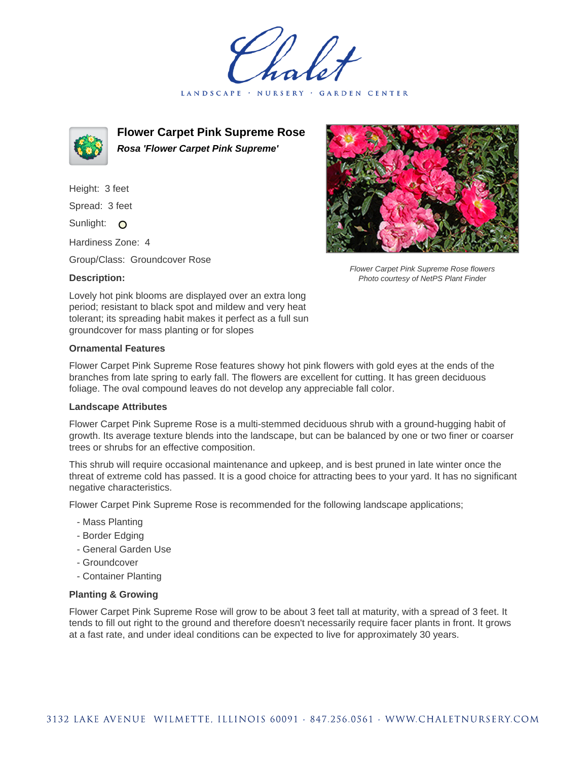LANDSCAPE · NURSERY · GARDEN CENTER



**Flower Carpet Pink Supreme Rose Rosa 'Flower Carpet Pink Supreme'**

Height: 3 feet Spread: 3 feet Sunlight: O

Hardiness Zone: 4

Group/Class: Groundcover Rose

## **Description:**



Flower Carpet Pink Supreme Rose flowers Photo courtesy of NetPS Plant Finder

Lovely hot pink blooms are displayed over an extra long period; resistant to black spot and mildew and very heat tolerant; its spreading habit makes it perfect as a full sun groundcover for mass planting or for slopes

## **Ornamental Features**

Flower Carpet Pink Supreme Rose features showy hot pink flowers with gold eyes at the ends of the branches from late spring to early fall. The flowers are excellent for cutting. It has green deciduous foliage. The oval compound leaves do not develop any appreciable fall color.

## **Landscape Attributes**

Flower Carpet Pink Supreme Rose is a multi-stemmed deciduous shrub with a ground-hugging habit of growth. Its average texture blends into the landscape, but can be balanced by one or two finer or coarser trees or shrubs for an effective composition.

This shrub will require occasional maintenance and upkeep, and is best pruned in late winter once the threat of extreme cold has passed. It is a good choice for attracting bees to your yard. It has no significant negative characteristics.

Flower Carpet Pink Supreme Rose is recommended for the following landscape applications;

- Mass Planting
- Border Edging
- General Garden Use
- Groundcover
- Container Planting

## **Planting & Growing**

Flower Carpet Pink Supreme Rose will grow to be about 3 feet tall at maturity, with a spread of 3 feet. It tends to fill out right to the ground and therefore doesn't necessarily require facer plants in front. It grows at a fast rate, and under ideal conditions can be expected to live for approximately 30 years.